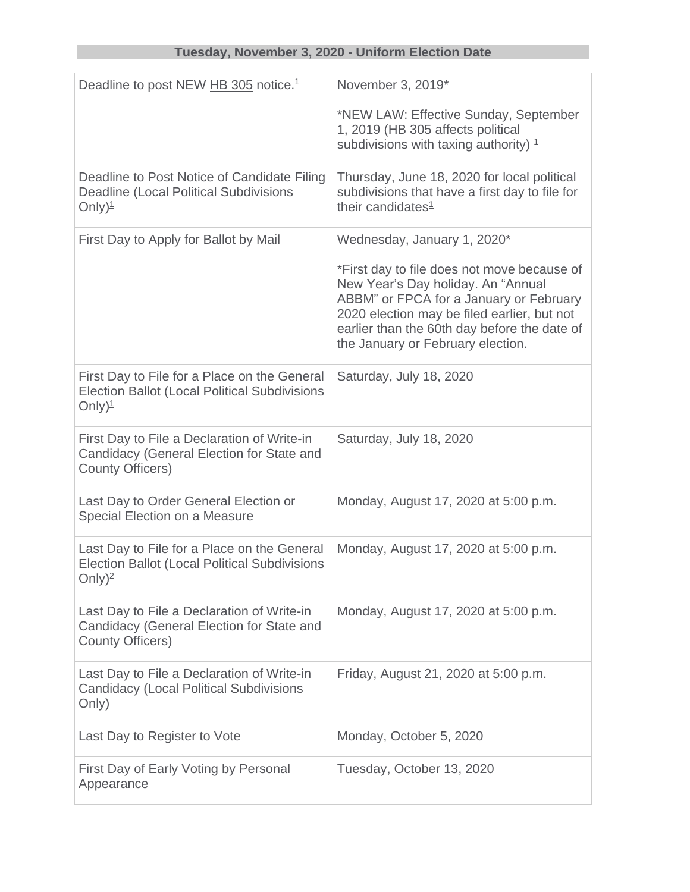## **Tuesday, November 3, 2020 - Uniform Election Date**

| Deadline to post NEW HB 305 notice. <sup>1</sup>                                                                            | November 3, 2019*                                                                                                                                                                                                                                                |
|-----------------------------------------------------------------------------------------------------------------------------|------------------------------------------------------------------------------------------------------------------------------------------------------------------------------------------------------------------------------------------------------------------|
|                                                                                                                             | *NEW LAW: Effective Sunday, September<br>1, 2019 (HB 305 affects political<br>subdivisions with taxing authority) $1$                                                                                                                                            |
| Deadline to Post Notice of Candidate Filing<br><b>Deadline (Local Political Subdivisions</b><br>Only) $\frac{1}{2}$         | Thursday, June 18, 2020 for local political<br>subdivisions that have a first day to file for<br>their candidates <sup>1</sup>                                                                                                                                   |
| First Day to Apply for Ballot by Mail                                                                                       | Wednesday, January 1, 2020*                                                                                                                                                                                                                                      |
|                                                                                                                             | *First day to file does not move because of<br>New Year's Day holiday. An "Annual<br>ABBM" or FPCA for a January or February<br>2020 election may be filed earlier, but not<br>earlier than the 60th day before the date of<br>the January or February election. |
| First Day to File for a Place on the General<br><b>Election Ballot (Local Political Subdivisions</b><br>Only) $\frac{1}{2}$ | Saturday, July 18, 2020                                                                                                                                                                                                                                          |
| First Day to File a Declaration of Write-in<br>Candidacy (General Election for State and<br><b>County Officers)</b>         | Saturday, July 18, 2020                                                                                                                                                                                                                                          |
| Last Day to Order General Election or<br>Special Election on a Measure                                                      | Monday, August 17, 2020 at 5:00 p.m.                                                                                                                                                                                                                             |
| Last Day to File for a Place on the General<br><b>Election Ballot (Local Political Subdivisions</b><br>Only) $^2$           | Monday, August 17, 2020 at 5:00 p.m.                                                                                                                                                                                                                             |
| Last Day to File a Declaration of Write-in<br>Candidacy (General Election for State and<br><b>County Officers)</b>          | Monday, August 17, 2020 at 5:00 p.m.                                                                                                                                                                                                                             |
| Last Day to File a Declaration of Write-in<br><b>Candidacy (Local Political Subdivisions</b><br>Only)                       | Friday, August 21, 2020 at 5:00 p.m.                                                                                                                                                                                                                             |
| Last Day to Register to Vote                                                                                                | Monday, October 5, 2020                                                                                                                                                                                                                                          |
| First Day of Early Voting by Personal<br>Appearance                                                                         | Tuesday, October 13, 2020                                                                                                                                                                                                                                        |